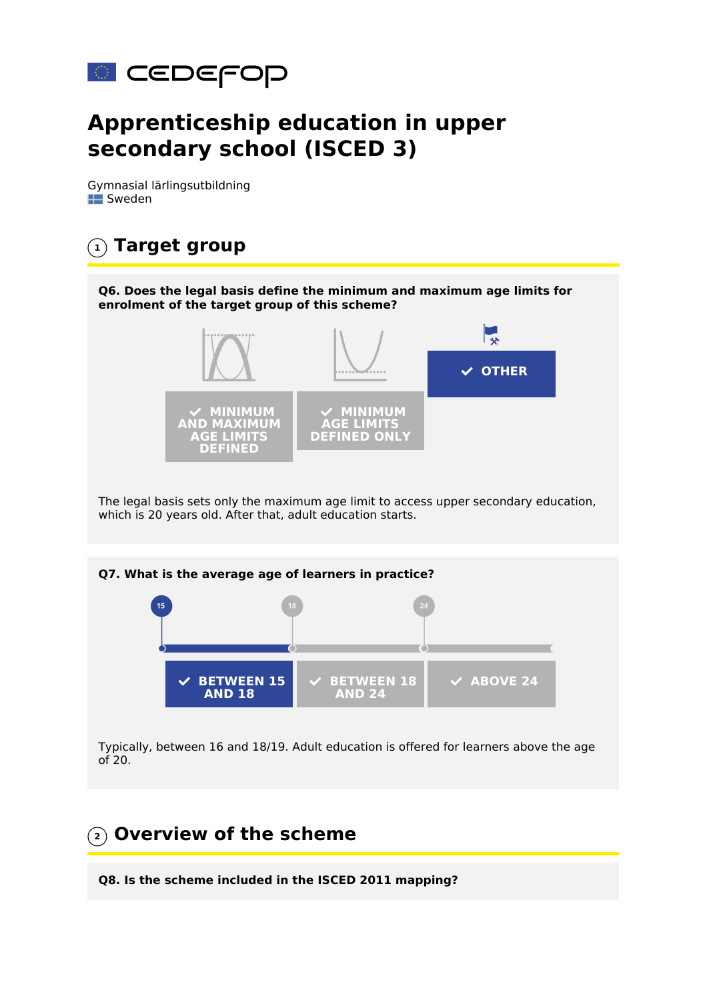

# **Apprenticeship education in upper secondary school (ISCED 3)**

Gymnasial lärlingsutbildning **EX** Sweden



Typically, between 16 and 18/19. Adult education is offered for learners above the age of 20.

# **2 Overview of the scheme**

**Q8. Is the scheme included in the ISCED 2011 mapping?**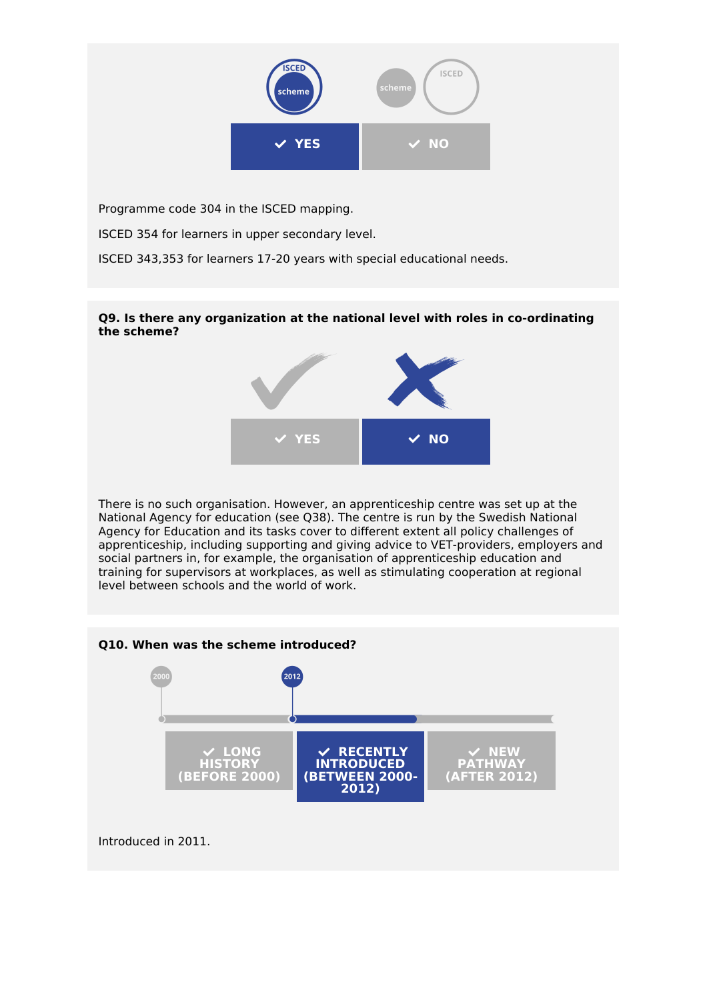

Programme code 304 in the ISCED mapping.

ISCED 354 for learners in upper secondary level.

ISCED 343,353 for learners 17-20 years with special educational needs.

### **Q9. Is there any organization at the national level with roles in co-ordinating the scheme?**



There is no such organisation. However, an apprenticeship centre was set up at the National Agency for education (see Q38). The centre is run by the Swedish National Agency for Education and its tasks cover to different extent all policy challenges of apprenticeship, including supporting and giving advice to VET-providers, employers and social partners in, for example, the organisation of apprenticeship education and training for supervisors at workplaces, as well as stimulating cooperation at regional level between schools and the world of work.

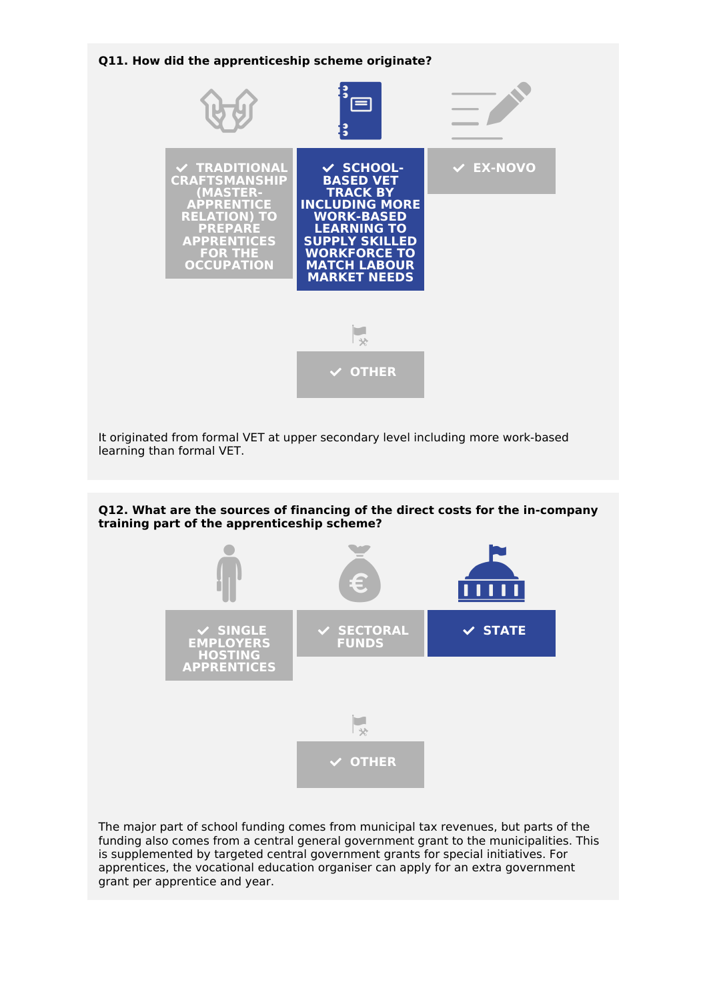

The major part of school funding comes from municipal tax revenues, but parts of the funding also comes from a central general government grant to the municipalities. This is supplemented by targeted central government grants for special initiatives. For apprentices, the vocational education organiser can apply for an extra government grant per apprentice and year.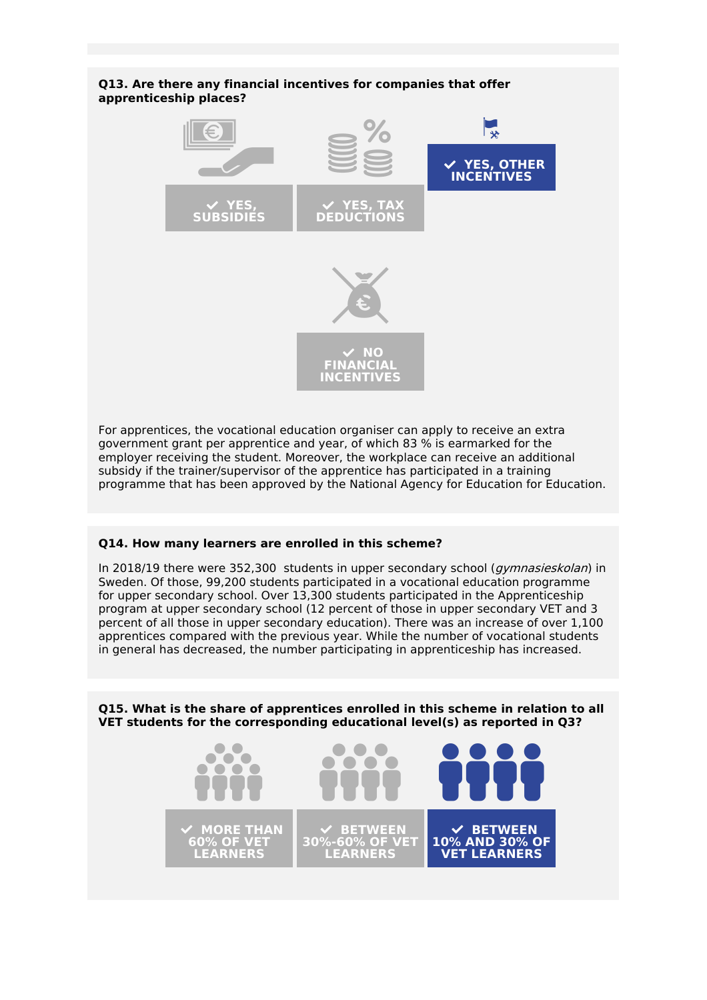### **Q13. Are there any financial incentives for companies that offer apprenticeship places?**



For apprentices, the vocational education organiser can apply to receive an extra government grant per apprentice and year, of which 83 % is earmarked for the employer receiving the student. Moreover, the workplace can receive an additional subsidy if the trainer/supervisor of the apprentice has participated in a training programme that has been approved by the National Agency for Education for Education.

#### **Q14. How many learners are enrolled in this scheme?**

In 2018/19 there were 352,300 students in upper secondary school (*gymnasieskolan*) in Sweden. Of those, 99,200 students participated in a vocational education programme for upper secondary school. Over 13,300 students participated in the Apprenticeship program at upper secondary school (12 percent of those in upper secondary VET and 3 percent of all those in upper secondary education). There was an increase of over 1,100 apprentices compared with the previous year. While the number of vocational students in general has decreased, the number participating in apprenticeship has increased.

**Q15. What is the share of apprentices enrolled in this scheme in relation to all VET students for the corresponding educational level(s) as reported in Q3?**

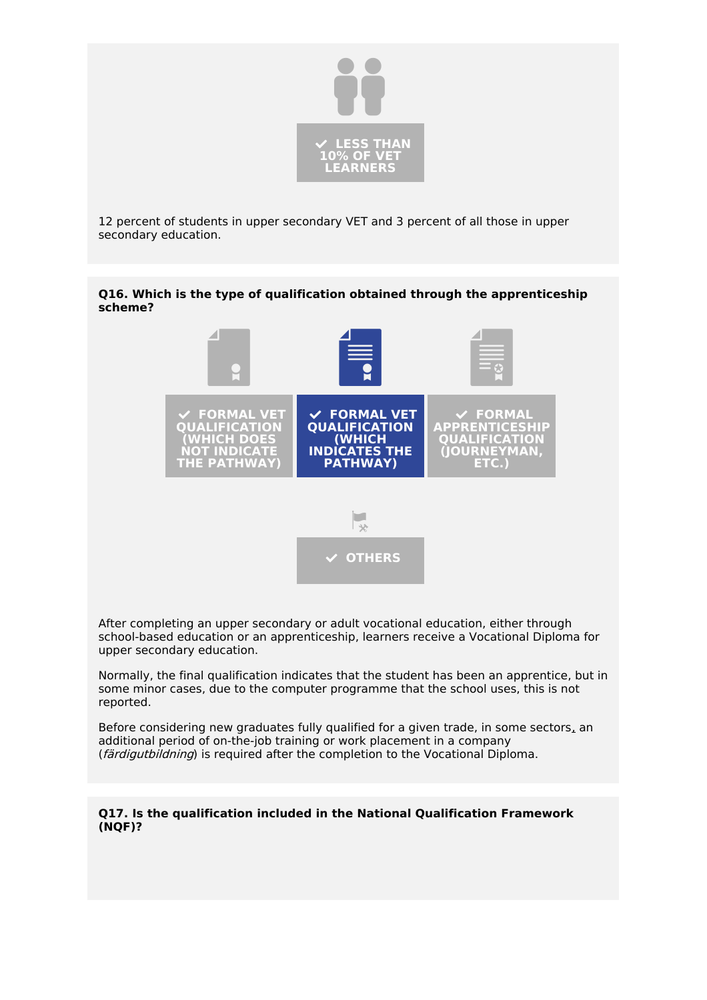

12 percent of students in upper secondary VET and 3 percent of all those in upper secondary education.

### **Q16. Which is the type of qualification obtained through the apprenticeship scheme?**



After completing an upper secondary or adult vocational education, either through school-based education or an apprenticeship, learners receive a Vocational Diploma for upper secondary education.

Normally, the final qualification indicates that the student has been an apprentice, but in some minor cases, due to the computer programme that the school uses, this is not reported.

Before considering new graduates fully qualified for a given trade, in some sectors, an additional period of on-the-job training or work placement in a company (färdigutbildning) is required after the completion to the Vocational Diploma.

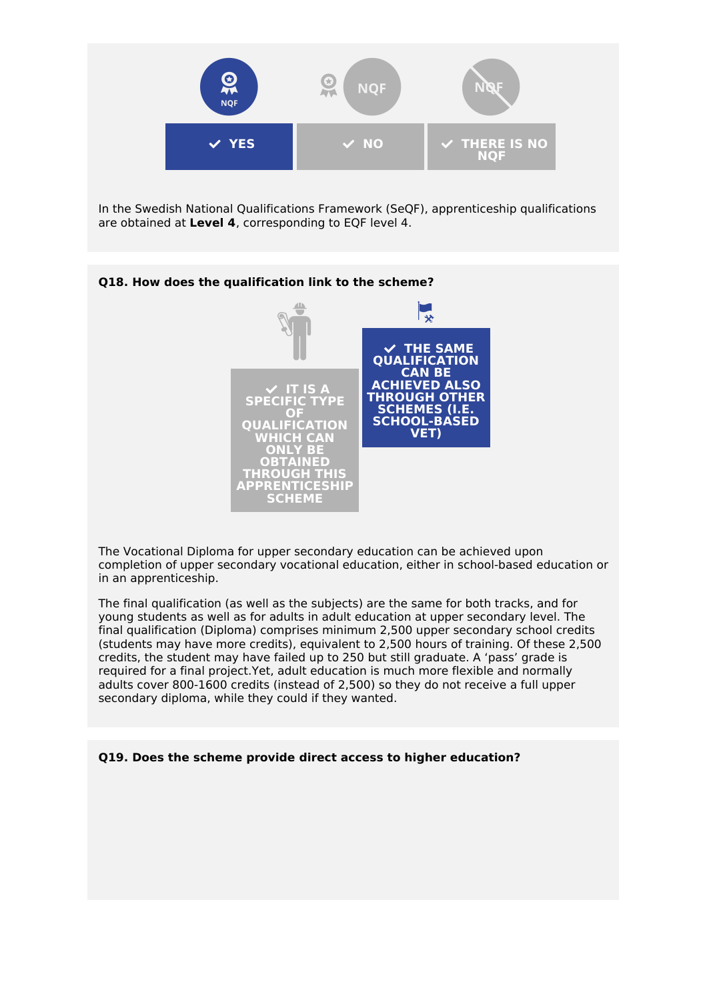

In the Swedish National Qualifications Framework (SeQF), apprenticeship qualifications are obtained at **Level 4**, corresponding to EQF level 4.

### **Q18. How does the qualification link to the scheme?**



The Vocational Diploma for upper secondary education can be achieved upon completion of upper secondary vocational education, either in school-based education or in an apprenticeship.

The final qualification (as well as the subjects) are the same for both tracks, and for young students as well as for adults in adult education at upper secondary level. The final qualification (Diploma) comprises minimum 2,500 upper secondary school credits (students may have more credits), equivalent to 2,500 hours of training. Of these 2,500 credits, the student may have failed up to 250 but still graduate. A 'pass' grade is required for a final project.Yet, adult education is much more flexible and normally adults cover 800-1600 credits (instead of 2,500) so they do not receive a full upper secondary diploma, while they could if they wanted.

**Q19. Does the scheme provide direct access to higher education?**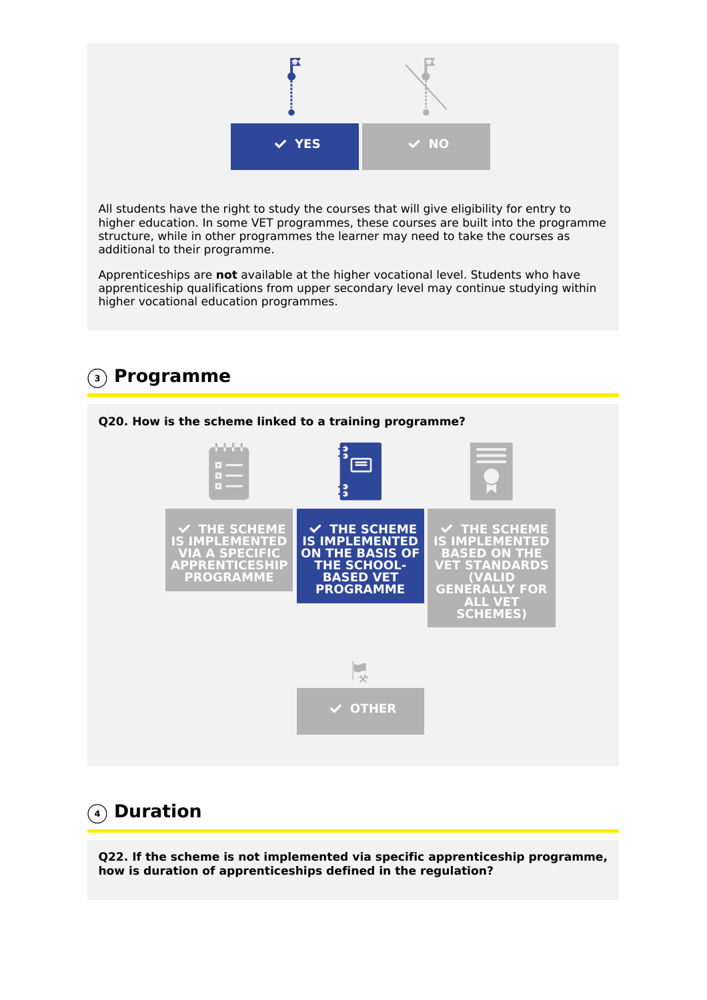

All students have the right to study the courses that will give eligibility for entry to higher education. In some VET programmes, these courses are built into the programme structure, while in other programmes the learner may need to take the courses as additional to their programme.

Apprenticeships are **not** available at the higher vocational level. Students who have apprenticeship qualifications from upper secondary level may continue studying within higher vocational education programmes.



# **4 Duration**

**Q22. If the scheme is not implemented via specific apprenticeship programme, how is duration of apprenticeships defined in the regulation?**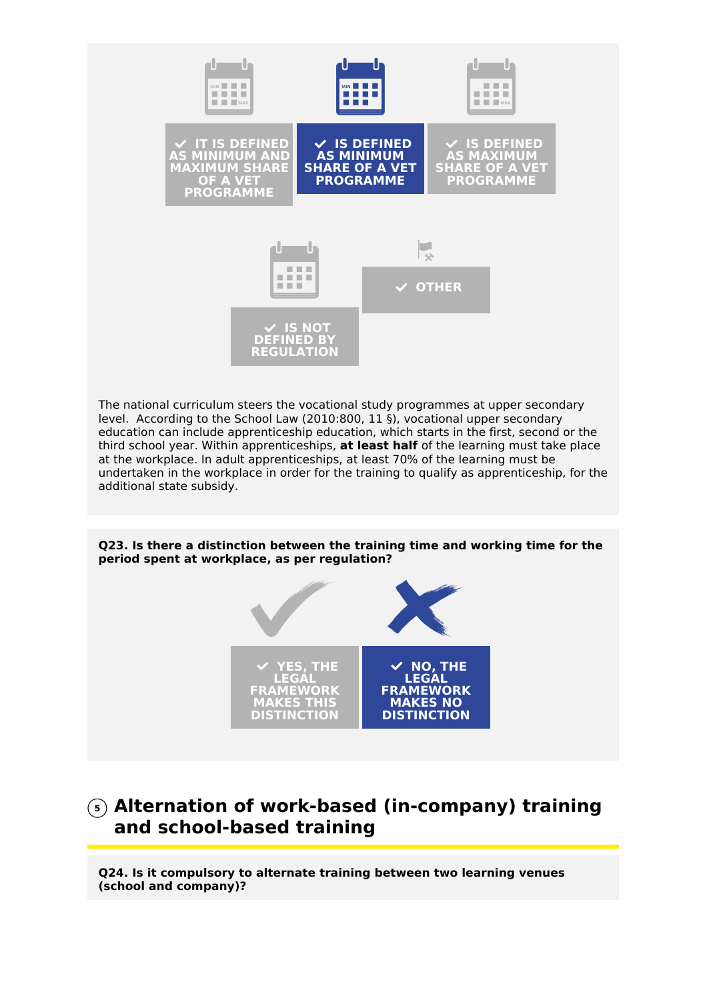

## **5 Alternation of work-based (in-company) training and school-based training**

**NO, THE**

**FRAMEWORK MAKES NO DISTINCTION**

**Q24. Is it compulsory to alternate training between two learning venues (school and company)?**

**YES, THE LEGAL FRAMEWORK MAKES THIS DISTINCTION**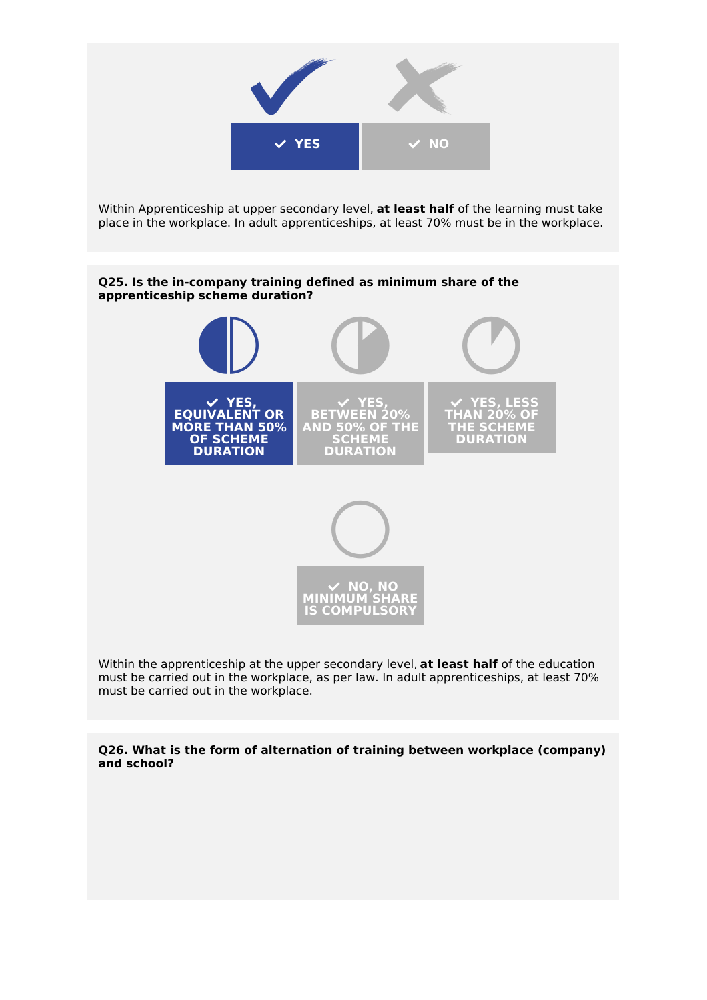

must be carried out in the workplace.

**Q26. What is the form of alternation of training between workplace (company) and school?**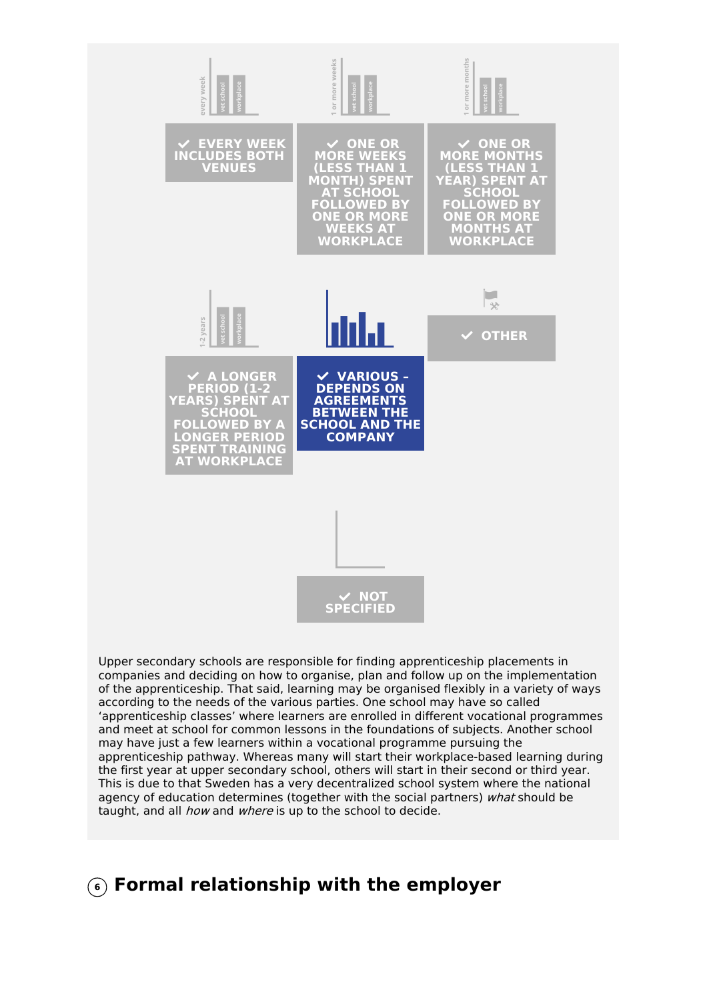

Upper secondary schools are responsible for finding apprenticeship placements in companies and deciding on how to organise, plan and follow up on the implementation of the apprenticeship. That said, learning may be organised flexibly in a variety of ways according to the needs of the various parties. One school may have so called 'apprenticeship classes' where learners are enrolled in different vocational programmes and meet at school for common lessons in the foundations of subjects. Another school may have just a few learners within a vocational programme pursuing the apprenticeship pathway. Whereas many will start their workplace-based learning during the first year at upper secondary school, others will start in their second or third year. This is due to that Sweden has a very decentralized school system where the national agency of education determines (together with the social partners) what should be taught, and all *how* and *where* is up to the school to decide.

### **6 Formal relationship with the employer**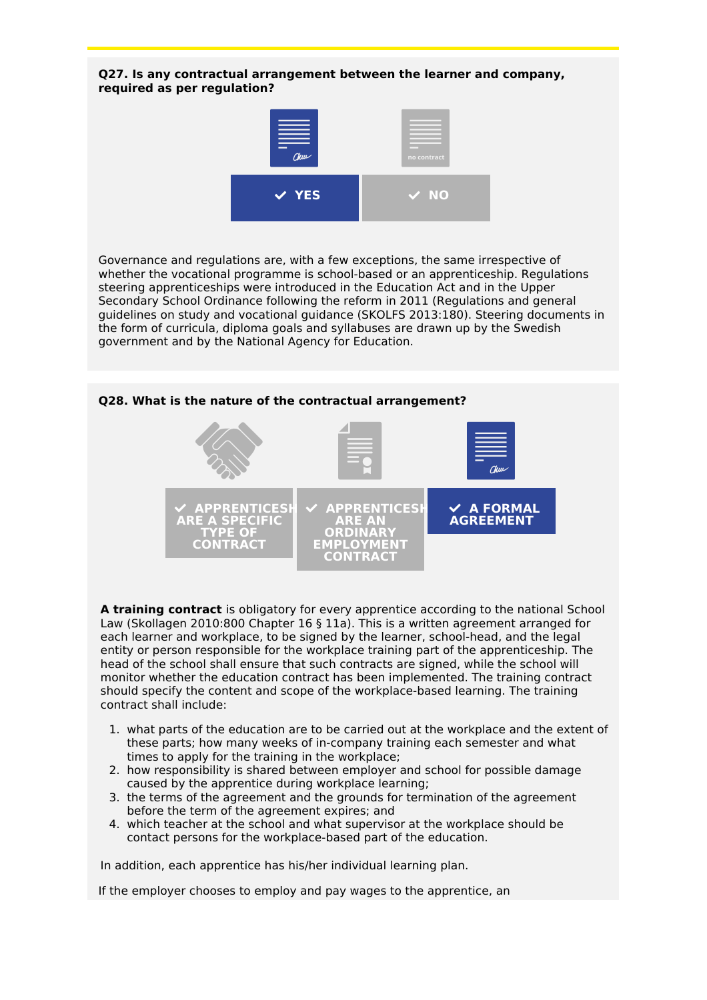#### **Q27. Is any contractual arrangement between the learner and company, required as per regulation?**



Governance and regulations are, with a few exceptions, the same irrespective of whether the vocational programme is school-based or an apprenticeship. Regulations steering apprenticeships were introduced in the Education Act and in the Upper Secondary School Ordinance following the reform in 2011 (Regulations and general guidelines on study and vocational guidance (SKOLFS 2013:180). Steering documents in the form of curricula, diploma goals and syllabuses are drawn up by the Swedish government and by the National Agency for Education.



**A training contract** is obligatory for every apprentice according to the national School Law (Skollagen 2010:800 Chapter 16 § 11a). This is a written agreement arranged for each learner and workplace, to be signed by the learner, school-head, and the legal entity or person responsible for the workplace training part of the apprenticeship. The head of the school shall ensure that such contracts are signed, while the school will monitor whether the education contract has been implemented. The training contract should specify the content and scope of the workplace-based learning. The training contract shall include:

- 1. what parts of the education are to be carried out at the workplace and the extent of these parts; how many weeks of in-company training each semester and what times to apply for the training in the workplace;
- 2. how responsibility is shared between employer and school for possible damage caused by the apprentice during workplace learning;
- 3. the terms of the agreement and the grounds for termination of the agreement before the term of the agreement expires; and
- 4. which teacher at the school and what supervisor at the workplace should be contact persons for the workplace-based part of the education.

In addition, each apprentice has his/her individual learning plan.

If the employer chooses to employ and pay wages to the apprentice, an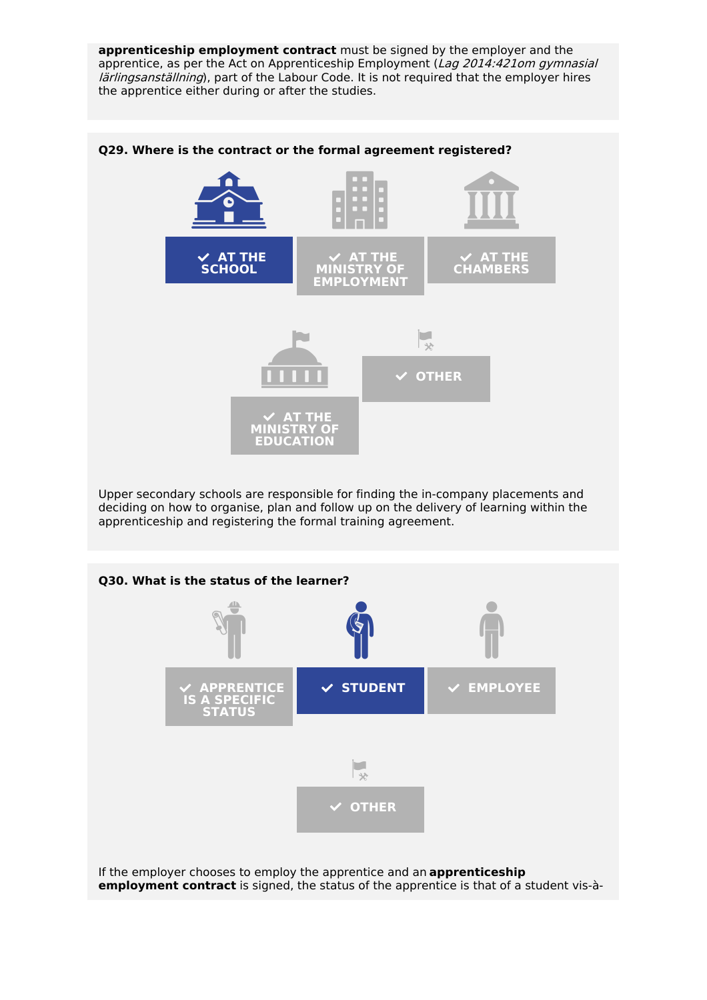**apprenticeship employment contract** must be signed by the employer and the apprentice, as per the Act on Apprenticeship Employment (Lag 2014:421om gymnasial lärlingsanställning), part of the Labour Code. It is not required that the employer hires the apprentice either during or after the studies.



#### **Q29. Where is the contract or the formal agreement registered?**

Upper secondary schools are responsible for finding the in-company placements and deciding on how to organise, plan and follow up on the delivery of learning within the apprenticeship and registering the formal training agreement.



**employment contract** is signed, the status of the apprentice is that of a student vis-à-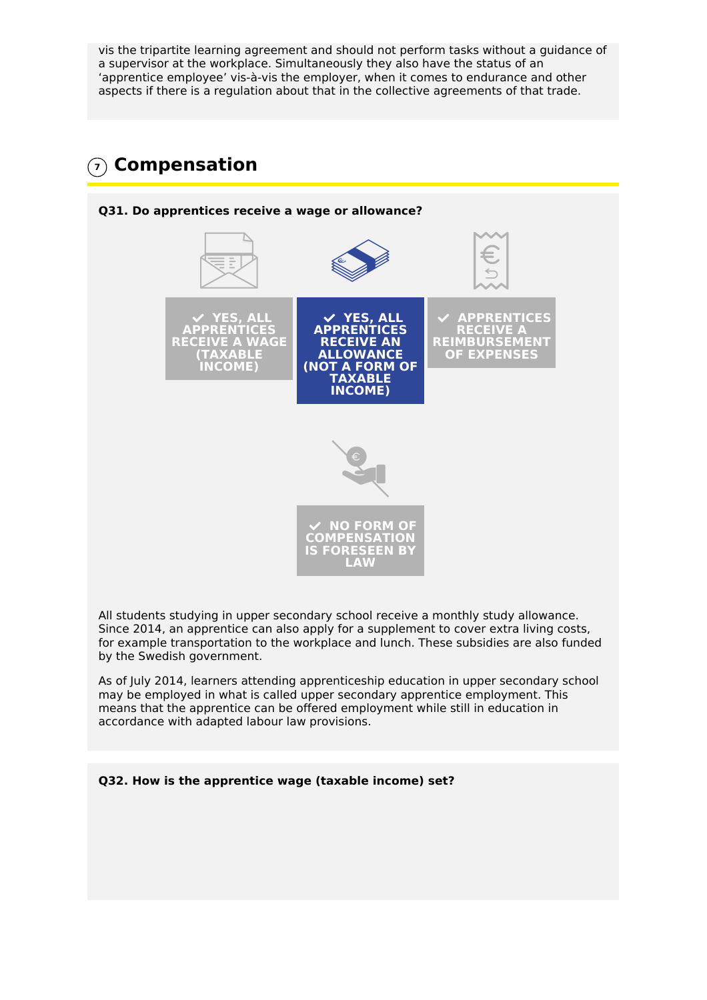vis the tripartite learning agreement and should not perform tasks without a guidance of a supervisor at the workplace. Simultaneously they also have the status of an 'apprentice employee' vis-à-vis the employer, when it comes to endurance and other aspects if there is a regulation about that in the collective agreements of that trade.

# **7 Compensation**



All students studying in upper secondary school receive a monthly study allowance. Since 2014, an apprentice can also apply for a supplement to cover extra living costs, for example transportation to the workplace and lunch. These subsidies are also funded by the Swedish government.

As of July 2014, learners attending apprenticeship education in upper secondary school may be employed in what is called upper secondary apprentice employment. This means that the apprentice can be offered employment while still in education in accordance with adapted labour law provisions.

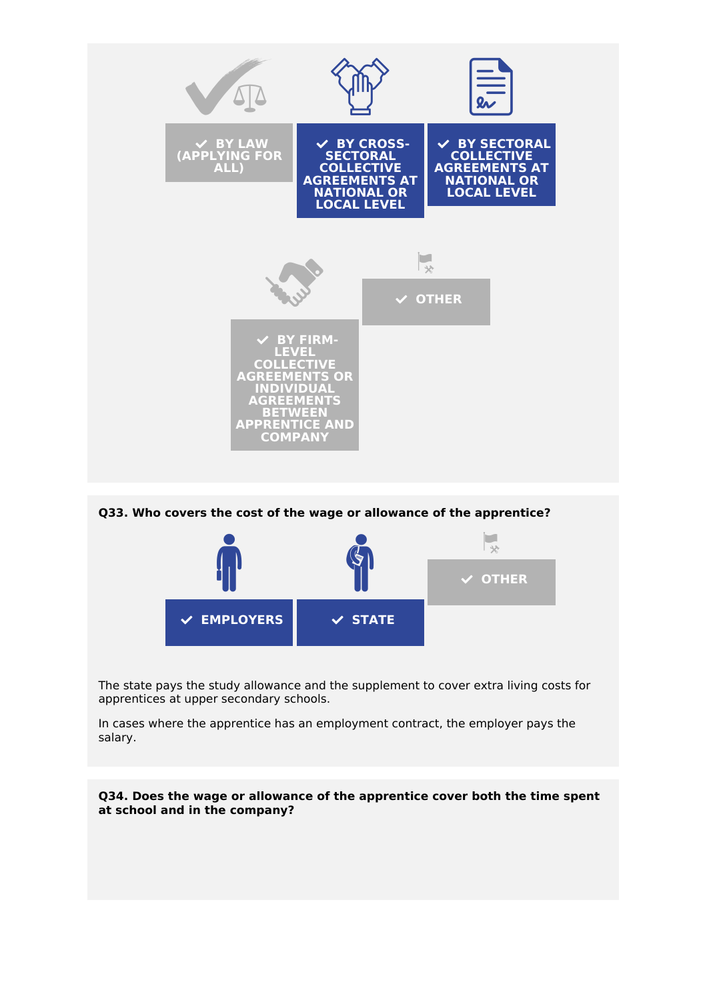

**Q33. Who covers the cost of the wage or allowance of the apprentice?**



The state pays the study allowance and the supplement to cover extra living costs for apprentices at upper secondary schools.

In cases where the apprentice has an employment contract, the employer pays the salary.

**Q34. Does the wage or allowance of the apprentice cover both the time spent at school and in the company?**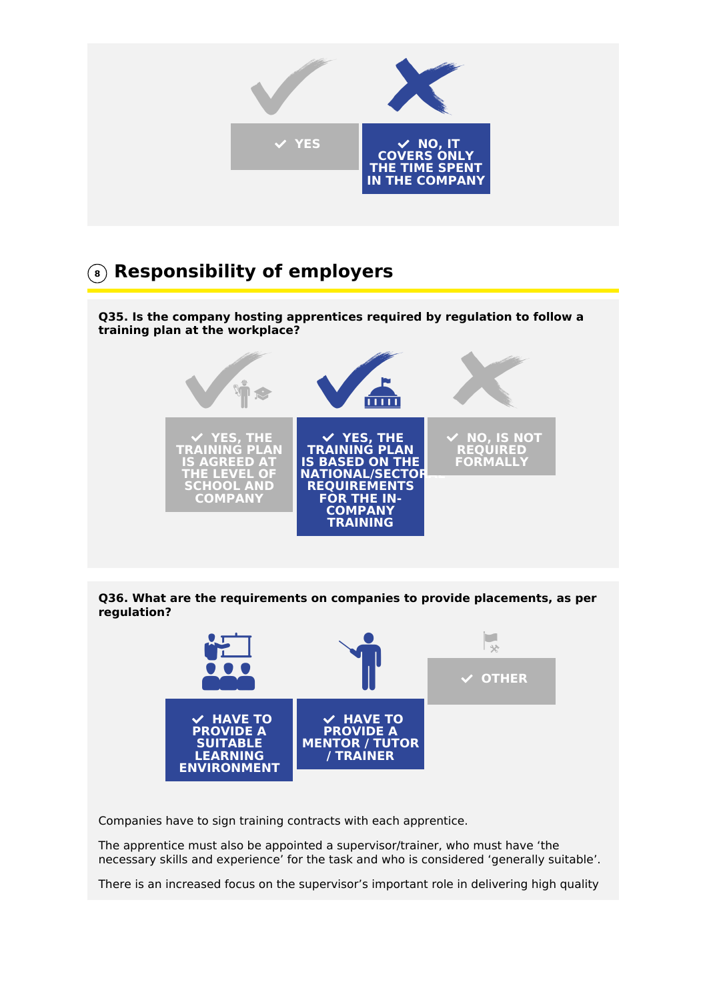

## **<sup>8</sup> Responsibility of employers**

**Q35. Is the company hosting apprentices required by regulation to follow a training plan at the workplace?**



#### **Q36. What are the requirements on companies to provide placements, as per regulation?**



Companies have to sign training contracts with each apprentice.

The apprentice must also be appointed a supervisor/trainer, who must have 'the necessary skills and experience' for the task and who is considered 'generally suitable'.

There is an increased focus on the supervisor's important role in delivering high quality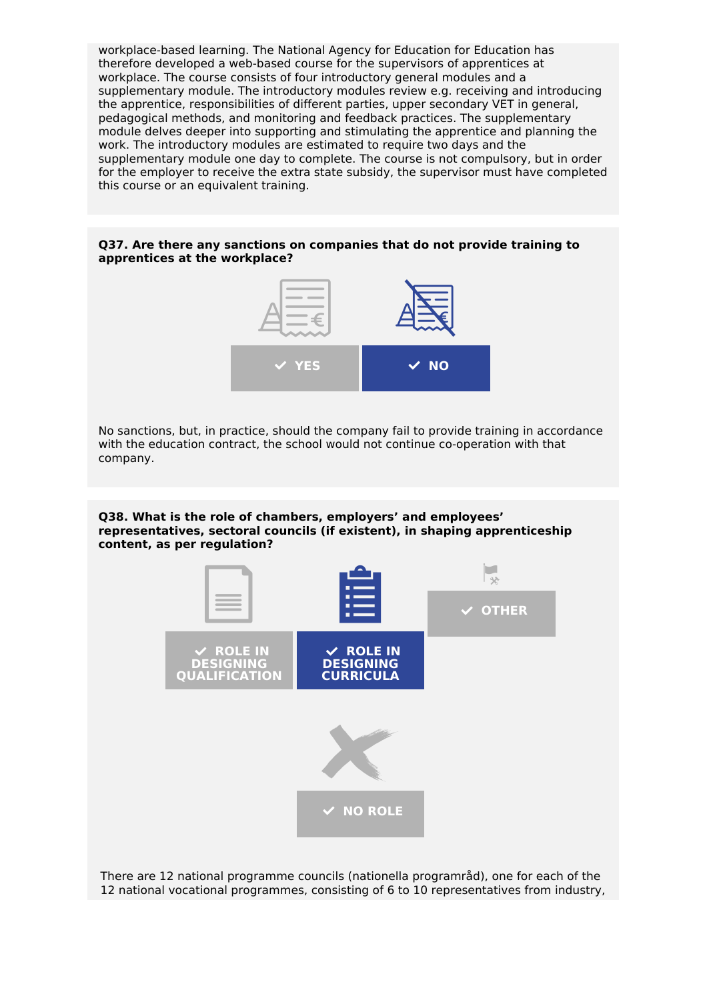workplace-based learning. The National Agency for Education for Education has therefore developed a web-based course for the supervisors of apprentices at workplace. The course consists of four introductory general modules and a supplementary module. The introductory modules review e.g. receiving and introducing the apprentice, responsibilities of different parties, upper secondary VET in general, pedagogical methods, and monitoring and feedback practices. The supplementary module delves deeper into supporting and stimulating the apprentice and planning the work. The introductory modules are estimated to require two days and the supplementary module one day to complete. The course is not compulsory, but in order for the employer to receive the extra state subsidy, the supervisor must have completed this course or an equivalent training.

#### **Q37. Are there any sanctions on companies that do not provide training to apprentices at the workplace?**



No sanctions, but, in practice, should the company fail to provide training in accordance with the education contract, the school would not continue co-operation with that company.

**Q38. What is the role of chambers, employers' and employees' representatives, sectoral councils (if existent), in shaping apprenticeship content, as per regulation?**



There are 12 national programme councils (nationella programråd), one for each of the 12 national vocational programmes, consisting of 6 to 10 representatives from industry,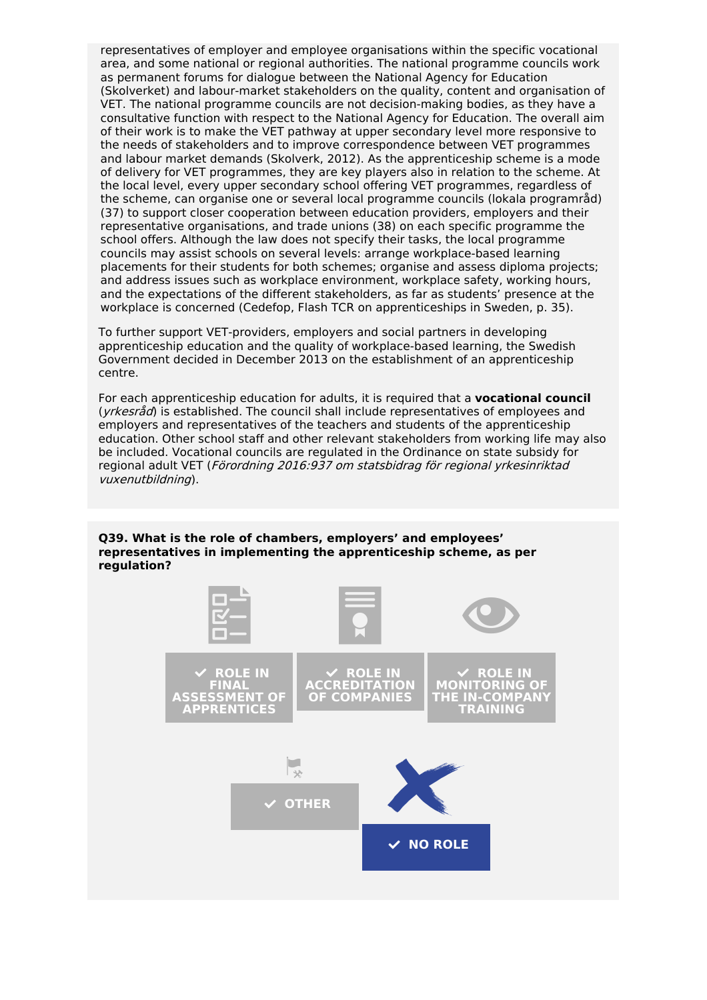representatives of employer and employee organisations within the specific vocational area, and some national or regional authorities. The national programme councils work as permanent forums for dialogue between the National Agency for Education (Skolverket) and labour-market stakeholders on the quality, content and organisation of VET. The national programme councils are not decision-making bodies, as they have a consultative function with respect to the National Agency for Education. The overall aim of their work is to make the VET pathway at upper secondary level more responsive to the needs of stakeholders and to improve correspondence between VET programmes and labour market demands (Skolverk, 2012). As the apprenticeship scheme is a mode of delivery for VET programmes, they are key players also in relation to the scheme. At the local level, every upper secondary school offering VET programmes, regardless of the scheme, can organise one or several local programme councils (lokala programråd) (37) to support closer cooperation between education providers, employers and their representative organisations, and trade unions (38) on each specific programme the school offers. Although the law does not specify their tasks, the local programme councils may assist schools on several levels: arrange workplace-based learning placements for their students for both schemes; organise and assess diploma projects; and address issues such as workplace environment, workplace safety, working hours, and the expectations of the different stakeholders, as far as students' presence at the workplace is concerned (Cedefop, Flash TCR on apprenticeships in Sweden, p. 35).

To further support VET-providers, employers and social partners in developing apprenticeship education and the quality of workplace-based learning, the Swedish Government decided in December 2013 on the establishment of an apprenticeship centre.

For each apprenticeship education for adults, it is required that a **vocational council**  $(yrkesr\hat{a}d)$  is established. The council shall include representatives of employees and employers and representatives of the teachers and students of the apprenticeship education. Other school staff and other relevant stakeholders from working life may also be included. Vocational councils are regulated in the Ordinance on state subsidy for regional adult VET (Förordning 2016:937 om statsbidrag för regional yrkesinriktad vuxenutbildning).



**Q39. What is the role of chambers, employers' and employees' representatives in implementing the apprenticeship scheme, as per regulation?**